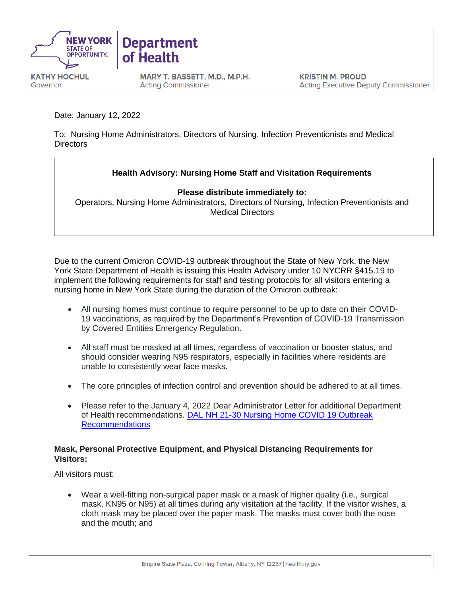

MARY T. BASSETT, M.D., M.P.H. **Acting Commissioner** 

Date: January 12, 2022

Governor

To: Nursing Home Administrators, Directors of Nursing, Infection Preventionists and Medical **Directors** 

## **Health Advisory: Nursing Home Staff and Visitation Requirements**

**Please distribute immediately to:**

Operators, Nursing Home Administrators, Directors of Nursing, Infection Preventionists and Medical Directors

Due to the current Omicron COVID-19 outbreak throughout the State of New York, the New York State Department of Health is issuing this Health Advisory under 10 NYCRR §415.19 to implement the following requirements for staff and testing protocols for all visitors entering a nursing home in New York State during the duration of the Omicron outbreak:

- All nursing homes must continue to require personnel to be up to date on their COVID-19 vaccinations, as required by the Department's Prevention of COVID-19 Transmission by Covered Entities Emergency Regulation.
- All staff must be masked at all times, regardless of vaccination or booster status, and should consider wearing N95 respirators, especially in facilities where residents are unable to consistently wear face masks.
- The core principles of infection control and prevention should be adhered to at all times.
- Please refer to the January 4, 2022 Dear Administrator Letter for additional Department of Health recommendations. [DAL NH 21-30 Nursing Home COVID 19 Outbreak](https://www.health.ny.gov/professionals/nursing_home_administrator/dal/docs/dal_nh_21-30.pdf)  [Recommendations](https://www.health.ny.gov/professionals/nursing_home_administrator/dal/docs/dal_nh_21-30.pdf)

## **Mask, Personal Protective Equipment, and Physical Distancing Requirements for Visitors:**

All visitors must:

• Wear a well-fitting non-surgical paper mask or a mask of higher quality (i.e., surgical mask, KN95 or N95) at all times during any visitation at the facility. If the visitor wishes, a cloth mask may be placed over the paper mask. The masks must cover both the nose and the mouth; and